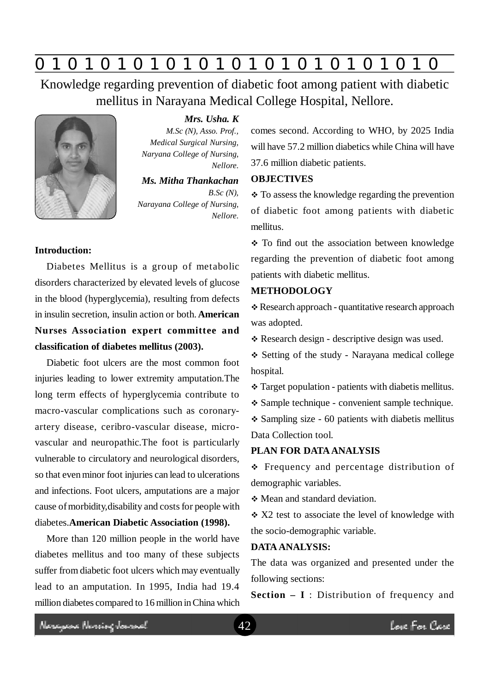# **0 z 0 z 0 z 0 z 0 z 0 z 0 z 0 z 0 z 0 z 0 z 0 z 0**

Knowledge regarding prevention of diabetic foot among patient with diabetic mellitus in Narayana Medical College Hospital, Nellore.



# *Mrs. Usha. K*

*M.Sc (N), Asso. Prof., Medical Surgical Nursing, Naryana College of Nursing, Nellore.*

#### *Ms. Mitha Thankachan*

*B.Sc (N), Narayana College of Nursing, Nellore.*

# **Introduction:**

Diabetes Mellitus is a group of metabolic disorders characterized by elevated levels of glucose in the blood (hyperglycemia), resulting from defects in insulin secretion, insulin action or both. **American Nurses Association expert committee and classification of diabetes mellitus (2003).**

Diabetic foot ulcers are the most common foot injuries leading to lower extremity amputation.The long term effects of hyperglycemia contribute to macro-vascular complications such as coronaryartery disease, ceribro-vascular disease, microvascular and neuropathic.The foot is particularly vulnerable to circulatory and neurological disorders, so that even minor foot injuries can lead to ulcerations and infections. Foot ulcers, amputations are a major cause of morbidity,disability and costs for people with diabetes.**American Diabetic Association (1998).**

More than 120 million people in the world have diabetes mellitus and too many of these subjects suffer from diabetic foot ulcers which may eventually lead to an amputation. In 1995, India had 19.4 million diabetes compared to 16 million in China which comes second. According to WHO, by 2025 India will have 57.2 million diabetics while China will have 37.6 million diabetic patients.

#### **OBJECTIVES**

 **↑ To assess the knowledge regarding the prevention** of diabetic foot among patients with diabetic mellitus.

• To find out the association between knowledge regarding the prevention of diabetic foot among patients with diabetic mellitus.

#### **METHODOLOGY**

 Research approach - quantitative research approach was adopted.

Research design - descriptive design was used.

 Setting of the study - Narayana medical college hospital.

Target population - patients with diabetis mellitus.

Sample technique - convenient sample technique.

 $\div$  Sampling size - 60 patients with diabetis mellitus Data Collection tool.

# **PLAN FOR DATA ANALYSIS**

 Frequency and percentage distribution of demographic variables.

Mean and standard deviation.

 X2 test to associate the level of knowledge with the socio-demographic variable.

#### **DATA ANALYSIS:**

The data was organized and presented under the following sections:

**Section – I** : Distribution of frequency and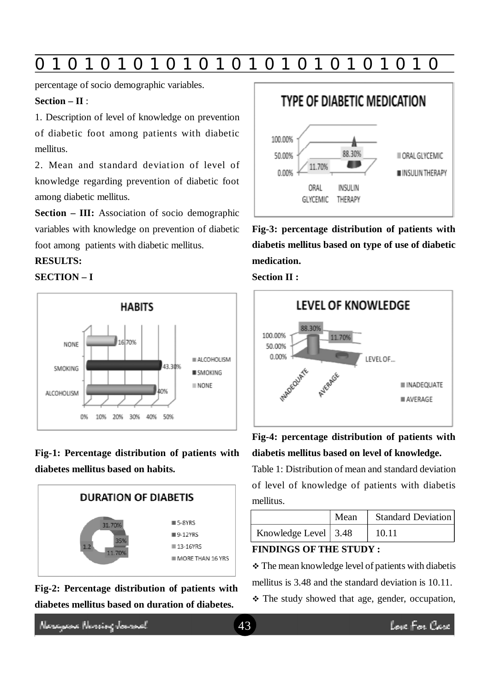# **0 z 0 z 0 z 0 z 0 z 0 z 0 z 0 z 0 z 0 z 0 z 0 z 0**

percentage of socio demographic variables.

# **Section – II** :

1. Description of level of knowledge on prevention of diabetic foot among patients with diabetic mellitus.

2. Mean and standard deviation of level of knowledge regarding prevention of diabetic foot among diabetic mellitus.

**Section – III:** Association of socio demographic variables with knowledge on prevention of diabetic foot among patients with diabetic mellitus.

# **RESULTS:**

# **SECTION – I**



**Fig-1: Percentage distribution of patients with diabetes mellitus based on habits.**



**Fig-2: Percentage distribution of patients with diabetes mellitus based on duration of diabetes.**



**Fig-3: percentage distribution of patients with diabetis mellitus based on type of use of diabetic medication.**





**Fig-4: percentage distribution of patients with diabetis mellitus based on level of knowledge.**

Table 1: Distribution of mean and standard deviation of level of knowledge of patients with diabetis mellitus.

|                              | Mean | <b>Standard Deviation</b> |
|------------------------------|------|---------------------------|
| Knowledge Level $\vert$ 3.48 |      | 10.11                     |

#### **FINDINGS OF THE STUDY :**

\* The mean knowledge level of patients with diabetis mellitus is 3.48 and the standard deviation is 10.11.

\* The study showed that age, gender, occupation,

Neregeae Nereing Januard